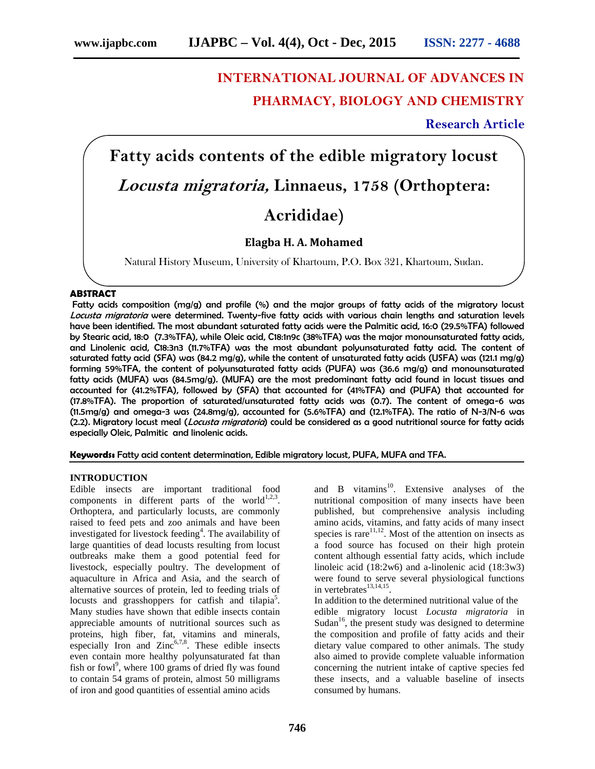# **INTERNATIONAL JOURNAL OF ADVANCES IN PHARMACY, BIOLOGY AND CHEMISTRY**

# **Research Article**

**Fatty acids contents of the edible migratory locust** *Locusta migratoria,* **Linnaeus, 1758 (Orthoptera: Acrididae)**

## **Elagba H. A. Mohamed**

Natural History Museum, University of Khartoum, P.O. Box 321, Khartoum, Sudan.

### **ABSTRACT**

Fatty acids composition (mg/g) and profile (%) and the major groups of fatty acids of the migratory locust *Locusta migratoria* were determined. Twenty-five fatty acids with various chain lengths and saturation levels have been identified. The most abundant saturated fatty acids were the Palmitic acid, 16:0 (29.5%TFA) followed by Stearic acid, 18:0 (7.3%TFA), while Oleic acid, C18:1n9c (38%TFA) was the major monounsaturated fatty acids, and Linolenic acid, C18:3n3 (11.7%TFA) was the most abundant polyunsaturated fatty acid. The content of saturated fatty acid (SFA) was (84.2 mg/g), while the content of unsaturated fatty acids (USFA) was (121.1 mg/g) forming 59%TFA, the content of polyunsaturated fatty acids (PUFA) was (36.6 mg/g) and monounsaturated fatty acids (MUFA) was (84.5mg/g). (MUFA) are the most predominant fatty acid found in locust tissues and accounted for (41.2%TFA), followed by (SFA) that accounted for (41%TFA) and (PUFA) that accounted for (17.8%TFA). The proportion of saturated/unsaturated fatty acids was (0.7). The content of omega-6 was (11.5mg/g) and omega-3 was (24.8mg/g), accounted for (5.6%TFA) and (12.1%TFA). The ratio of N-3/N-6 was (2.2). Migratory locust meal (*Locusta migratoria*) could be considered as a good nutritional source for fatty acids especially Oleic, Palmitic and linolenic acids.

**Keywords:** Fatty acid content determination, Edible migratory locust, PUFA, MUFA and TFA.

#### **INTRODUCTION**

Edible insects are important traditional food components in different parts of the world<sup>1,2,3</sup>. Orthoptera, and particularly locusts, are commonly raised to feed pets and zoo animals and have been investigated for livestock feeding<sup>4</sup>. The availability of large quantities of dead locusts resulting from locust outbreaks make them a good potential feed for livestock, especially poultry. The development of aquaculture in Africa and Asia, and the search of alternative sources of protein, led to feeding trials of locusts and grasshoppers for catfish and tilapia<sup>5</sup>. Many studies have shown that edible insects contain appreciable amounts of nutritional sources such as proteins, high fiber, fat, vitamins and minerals, especially Iron and  $Zinc<sup>6,7,8</sup>$ . These edible insects even contain more healthy polyunsaturated fat than fish or fowl<sup>9</sup>, where 100 grams of dried fly was found to contain 54 grams of protein, almost 50 milligrams of iron and good quantities of essential amino acids

and B vitamins<sup>10</sup>. Extensive analyses of the nutritional composition of many insects have been published, but comprehensive analysis including amino acids, vitamins, and fatty acids of many insect species is rare $11,12$ . Most of the attention on insects as a food source has focused on their high protein content although essential fatty acids, which include linoleic acid (18:2w6) and a-linolenic acid (18:3w3) were found to serve several physiological functions in vertebrates $^{13,14,15}$ .

In addition to the determined nutritional value of the edible migratory locust *Locusta migratoria* in Sudan<sup>16</sup>, the present study was designed to determine the composition and profile of fatty acids and their dietary value compared to other animals. The study also aimed to provide complete valuable information concerning the nutrient intake of captive species fed these insects, and a valuable baseline of insects consumed by humans.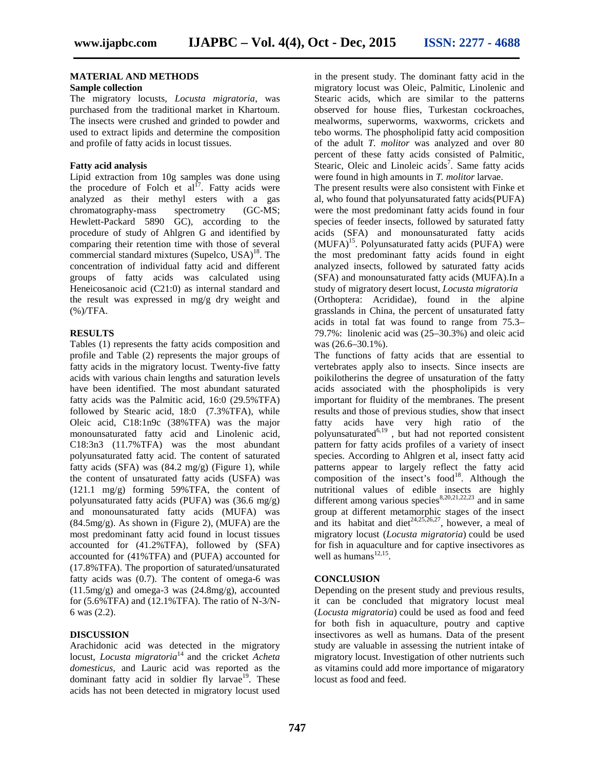#### **MATERIAL AND METHODS**

#### **Sample collection**

The migratory locusts, *Locusta migratoria*, was purchased from the traditional market in Khartoum. The insects were crushed and grinded to powder and used to extract lipids and determine the composition and profile of fatty acids in locust tissues.

#### **Fatty acid analysis**

Lipid extraction from 10g samples was done using the procedure of Folch et al<sup>17</sup>. Fatty acids were analyzed as their methyl esters with a gas chromatography-mass spectrometry (GC-MS; Hewlett-Packard 5890 GC), according to the procedure of study of Ahlgren G and identified by comparing their retention time with those of several commercial standard mixtures (Supelco, USA) $^{18}$ . The concentration of individual fatty acid and different groups of fatty acids was calculated using Heneicosanoic acid (C21:0) as internal standard and the result was expressed in mg/g dry weight and (%)/TFA.

#### **RESULTS**

Tables (1) represents the fatty acids composition and profile and Table (2) represents the major groups of fatty acids in the migratory locust. Twenty-five fatty acids with various chain lengths and saturation levels have been identified. The most abundant saturated fatty acids was the Palmitic acid, 16:0 (29.5%TFA) followed by Stearic acid, 18:0 (7.3%TFA), while Oleic acid, C18:1n9c (38%TFA) was the major monounsaturated fatty acid and Linolenic acid, C18:3n3 (11.7%TFA) was the most abundant polyunsaturated fatty acid. The content of saturated fatty acids (SFA) was (84.2 mg/g) (Figure 1), while the content of unsaturated fatty acids (USFA) was (121.1 mg/g) forming 59%TFA, the content of polyunsaturated fatty acids (PUFA) was (36.6 mg/g) and monounsaturated fatty acids (MUFA) was (84.5mg/g). As shown in (Figure 2), (MUFA) are the most predominant fatty acid found in locust tissues accounted for (41.2%TFA), followed by (SFA) accounted for (41%TFA) and (PUFA) accounted for (17.8%TFA). The proportion of saturated/unsaturated fatty acids was (0.7). The content of omega-6 was  $(11.5mg/g)$  and omega-3 was  $(24.8mg/g)$ , accounted for (5.6%TFA) and (12.1%TFA). The ratio of N-3/N- 6 was (2.2).

#### **DISCUSSION**

Arachidonic acid was detected in the migratory locust, *Locusta migratoria*<sup>14</sup> and the cricket *Acheta domesticus*, and Lauric acid was reported as the dominant fatty acid in soldier fly larvae<sup>19</sup>. These acids has not been detected in migratory locust used

in the present study. The dominant fatty acid in the migratory locust was Oleic, Palmitic, Linolenic and Stearic acids, which are similar to the patterns observed for house flies, Turkestan cockroaches, mealworms, superworms, waxworms, crickets and tebo worms. The phospholipid fatty acid composition of the adult *T. molitor* was analyzed and over 80 percent of these fatty acids consisted of Palmitic, Stearic, Oleic and Linoleic acids<sup>7</sup>. Same fatty acids were found in high amounts in *T. molitor* larvae.

The present results were also consistent with Finke et al, who found that polyunsaturated fatty acids(PUFA) were the most predominant fatty acids found in four species of feeder insects, followed by saturated fatty acids (SFA) and monounsaturated fatty acids (MUFA)<sup>15</sup>. Polyunsaturated fatty acids (PUFA) were the most predominant fatty acids found in eight analyzed insects, followed by saturated fatty acids (SFA) and monounsaturated fatty acids (MUFA).In a study of migratory desert locust, *Locusta migratoria* (Orthoptera: Acrididae), found in the alpine grasslands in China, the percent of unsaturated fatty acids in total fat was found to range from 75.3– 79.7%: linolenic acid was (25–30.3%) and oleic acid was (26.6–30.1%).

The functions of fatty acids that are essential to vertebrates apply also to insects. Since insects are poikilotherins the degree of unsaturation of the fatty acids associated with the phospholipids is very important for fluidity of the membranes. The present results and those of previous studies, show that insect fatty acids have very high ratio of the polyunsaturated<sup> $6,19$ </sup>, but had not reported consistent pattern for fatty acids profiles of a variety of insect species. According to Ahlgren et al, insect fatty acid patterns appear to largely reflect the fatty acid composition of the insect's  $food<sup>18</sup>$ . Although the nutritional values of edible insects are highly different among various species $8,20,21,22,23$  and in same group at different metamorphic stages of the insect and its habitat and diet<sup>24,25,26,27</sup>, however, a meal of migratory locust (*Locusta migratoria*) could be used for fish in aquaculture and for captive insectivores as well as humans $^{12,15}$ .

#### **CONCLUSION**

Depending on the present study and previous results, it can be concluded that migratory locust meal (*Locusta migratoria*) could be used as food and feed for both fish in aquaculture, poutry and captive insectivores as well as humans. Data of the present study are valuable in assessing the nutrient intake of migratory locust. Investigation of other nutrients such as vitamins could add more importance of migaratory locust as food and feed.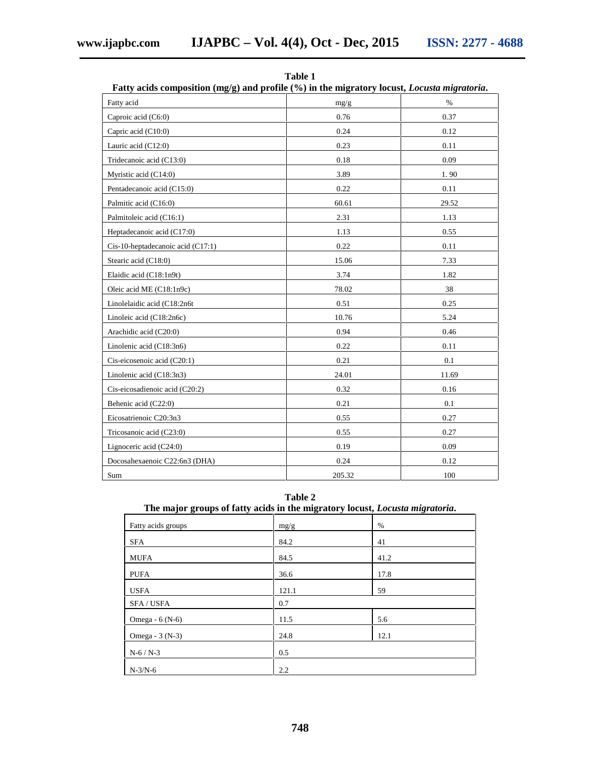| Fatty acids composition $(mg/g)$ and profile $(\%)$ in the migratory locust, <i>Locusta migratoria</i> . |        |       |  |
|----------------------------------------------------------------------------------------------------------|--------|-------|--|
| Fatty acid                                                                                               | mg/g   | $\%$  |  |
| Caproic acid (C6:0)                                                                                      | 0.76   | 0.37  |  |
| Capric acid (C10:0)                                                                                      | 0.24   | 0.12  |  |
| Lauric acid (C12:0)                                                                                      | 0.23   | 0.11  |  |
| Tridecanoic acid (C13:0)                                                                                 | 0.18   | 0.09  |  |
| Myristic acid (C14:0)                                                                                    | 3.89   | 1.90  |  |
| Pentadecanoic acid (C15:0)                                                                               | 0.22   | 0.11  |  |
| Palmitic acid (C16:0)                                                                                    | 60.61  | 29.52 |  |
| Palmitoleic acid (C16:1)                                                                                 | 2.31   | 1.13  |  |
| Heptadecanoic acid (C17:0)                                                                               | 1.13   | 0.55  |  |
| Cis-10-heptadecanoic acid (C17:1)                                                                        | 0.22   | 0.11  |  |
| Stearic acid (C18:0)                                                                                     | 15.06  | 7.33  |  |
| Elaidic acid (C18:1n9t)                                                                                  | 3.74   | 1.82  |  |
| Oleic acid ME (C18:1n9c)                                                                                 | 78.02  | 38    |  |
| Linolelaidic acid (C18:2n6t                                                                              | 0.51   | 0.25  |  |
| Linoleic acid (C18:2n6c)                                                                                 | 10.76  | 5.24  |  |
| Arachidic acid (C20:0)                                                                                   | 0.94   | 0.46  |  |
| Linolenic acid (C18:3n6)                                                                                 | 0.22   | 0.11  |  |
| Cis-eicosenoic acid (C20:1)                                                                              | 0.21   | 0.1   |  |
| Linolenic acid (C18:3n3)                                                                                 | 24.01  | 11.69 |  |
| Cis-eicosadienoic acid (C20:2)                                                                           | 0.32   | 0.16  |  |
| Behenic acid (C22:0)                                                                                     | 0.21   | 0.1   |  |
| Eicosatrienoic C20:3n3                                                                                   | 0.55   | 0.27  |  |
| Tricosanoic acid (C23:0)                                                                                 | 0.55   | 0.27  |  |
| Lignoceric acid (C24:0)                                                                                  | 0.19   | 0.09  |  |
| Docosahexaenoic C22:6n3 (DHA)                                                                            | 0.24   | 0.12  |  |
| Sum                                                                                                      | 205.32 | 100   |  |

**Table 1**

**Table 2**

| The major groups of fatty acids in the migratory locust, <i>Locusta migratoria</i> . |  |
|--------------------------------------------------------------------------------------|--|
|--------------------------------------------------------------------------------------|--|

| Fatty acids groups | mg/g  | $\%$ |
|--------------------|-------|------|
| <b>SFA</b>         | 84.2  | 41   |
| <b>MUFA</b>        | 84.5  | 41.2 |
| <b>PUFA</b>        | 36.6  | 17.8 |
| <b>USFA</b>        | 121.1 | 59   |
| SFA / USFA         | 0.7   |      |
| Omega - 6 (N-6)    | 11.5  | 5.6  |
| Omega - 3 (N-3)    | 24.8  | 12.1 |
| $N-6/N-3$          | 0.5   |      |
| $N-3/N-6$          | 2.2   |      |

**748**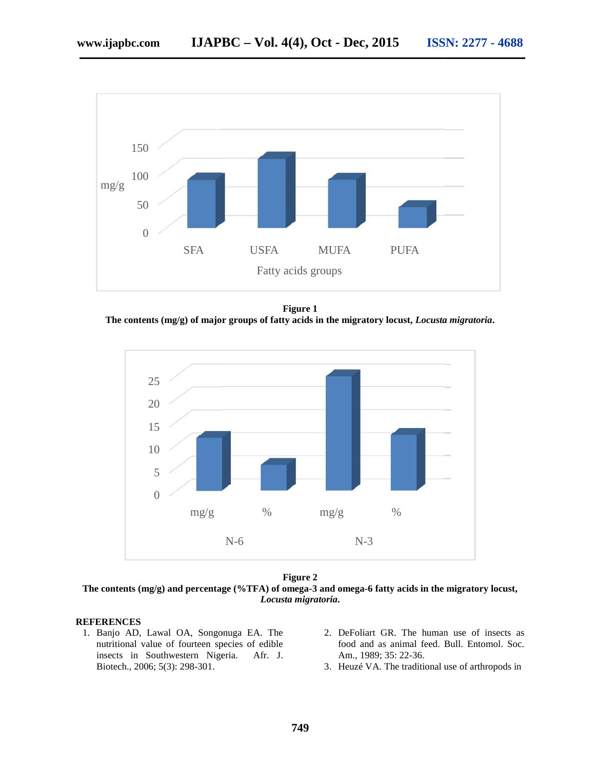

**Figure 1 The contents (mg/g) of major groups of fatty acids in the migratory locust,** *Locusta migratoria***.**



**Figure 2**

**The contents (mg/g) and percentage (%TFA) of omega-3 and omega-6 fatty acids in the migratory locust,** *Locusta migratoria***.**

#### **REFERENCES**

- 1. Banjo AD, Lawal OA, Songonuga EA. The nutritional value of fourteen species of edible insects in Southwestern Nigeria. Afr. J. Biotech., 2006; 5(3): 298-301.
- 2. DeFoliart GR. The human use of insects as food and as animal feed. Bull. Entomol. Soc. Am., 1989; 35: 22-36.
- 3. Heuzé VA. The traditional use of arthropods in